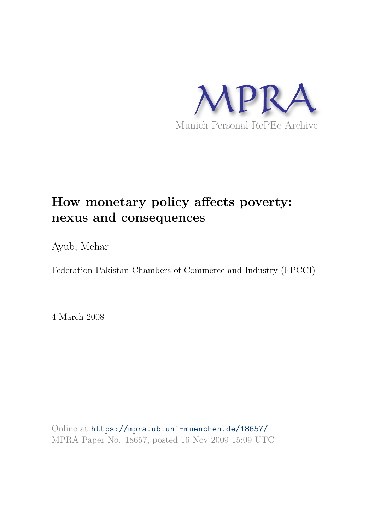

# **How monetary policy affects poverty: nexus and consequences**

Ayub, Mehar

Federation Pakistan Chambers of Commerce and Industry (FPCCI)

4 March 2008

Online at https://mpra.ub.uni-muenchen.de/18657/ MPRA Paper No. 18657, posted 16 Nov 2009 15:09 UTC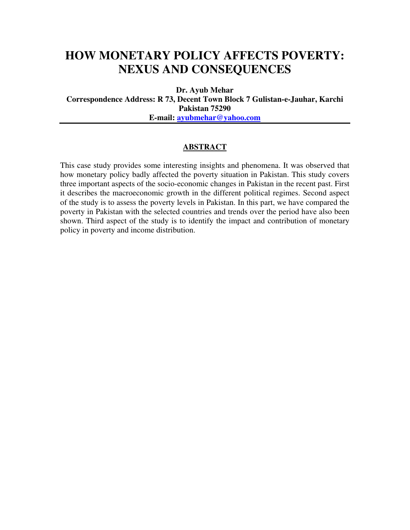## **HOW MONETARY POLICY AFFECTS POVERTY: NEXUS AND CONSEQUENCES**

**Dr. Ayub Mehar** 

**Correspondence Address: R 73, Decent Town Block 7 Gulistan-e-Jauhar, Karchi Pakistan 75290 E-mail: ayubmehar@yahoo.com**

#### **ABSTRACT**

This case study provides some interesting insights and phenomena. It was observed that how monetary policy badly affected the poverty situation in Pakistan. This study covers three important aspects of the socio-economic changes in Pakistan in the recent past. First it describes the macroeconomic growth in the different political regimes. Second aspect of the study is to assess the poverty levels in Pakistan. In this part, we have compared the poverty in Pakistan with the selected countries and trends over the period have also been shown. Third aspect of the study is to identify the impact and contribution of monetary policy in poverty and income distribution.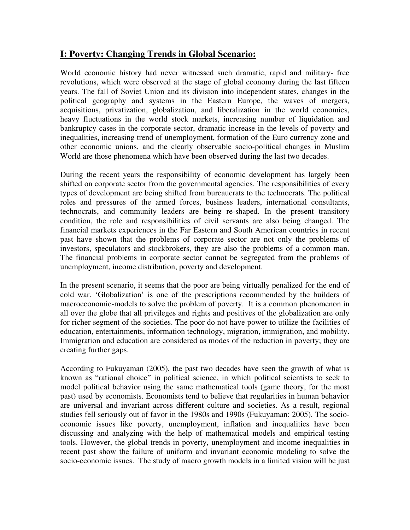## **I: Poverty: Changing Trends in Global Scenario:**

World economic history had never witnessed such dramatic, rapid and military- free revolutions, which were observed at the stage of global economy during the last fifteen years. The fall of Soviet Union and its division into independent states, changes in the political geography and systems in the Eastern Europe, the waves of mergers, acquisitions, privatization, globalization, and liberalization in the world economies, heavy fluctuations in the world stock markets, increasing number of liquidation and bankruptcy cases in the corporate sector, dramatic increase in the levels of poverty and inequalities, increasing trend of unemployment, formation of the Euro currency zone and other economic unions, and the clearly observable socio-political changes in Muslim World are those phenomena which have been observed during the last two decades.

During the recent years the responsibility of economic development has largely been shifted on corporate sector from the governmental agencies. The responsibilities of every types of development are being shifted from bureaucrats to the technocrats. The political roles and pressures of the armed forces, business leaders, international consultants, technocrats, and community leaders are being re-shaped. In the present transitory condition, the role and responsibilities of civil servants are also being changed. The financial markets experiences in the Far Eastern and South American countries in recent past have shown that the problems of corporate sector are not only the problems of investors, speculators and stockbrokers, they are also the problems of a common man. The financial problems in corporate sector cannot be segregated from the problems of unemployment, income distribution, poverty and development.

In the present scenario, it seems that the poor are being virtually penalized for the end of cold war. 'Globalization' is one of the prescriptions recommended by the builders of macroeconomic-models to solve the problem of poverty. It is a common phenomenon in all over the globe that all privileges and rights and positives of the globalization are only for richer segment of the societies. The poor do not have power to utilize the facilities of education, entertainments, information technology, migration, immigration, and mobility. Immigration and education are considered as modes of the reduction in poverty; they are creating further gaps.

According to Fukuyaman (2005), the past two decades have seen the growth of what is known as "rational choice" in political science, in which political scientists to seek to model political behavior using the same mathematical tools (game theory, for the most past) used by economists. Economists tend to believe that regularities in human behavior are universal and invariant across different culture and societies. As a result, regional studies fell seriously out of favor in the 1980s and 1990s (Fukuyaman: 2005). The socioeconomic issues like poverty, unemployment, inflation and inequalities have been discussing and analyzing with the help of mathematical models and empirical testing tools. However, the global trends in poverty, unemployment and income inequalities in recent past show the failure of uniform and invariant economic modeling to solve the socio-economic issues. The study of macro growth models in a limited vision will be just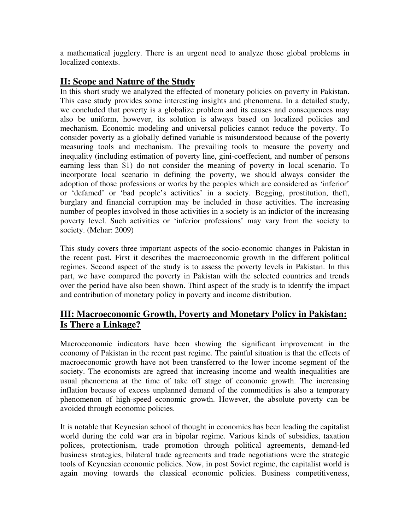a mathematical jugglery. There is an urgent need to analyze those global problems in localized contexts.

## **II: Scope and Nature of the Study**

In this short study we analyzed the effected of monetary policies on poverty in Pakistan. This case study provides some interesting insights and phenomena. In a detailed study, we concluded that poverty is a globalize problem and its causes and consequences may also be uniform, however, its solution is always based on localized policies and mechanism. Economic modeling and universal policies cannot reduce the poverty. To consider poverty as a globally defined variable is misunderstood because of the poverty measuring tools and mechanism. The prevailing tools to measure the poverty and inequality (including estimation of poverty line, gini-coeffecient, and number of persons earning less than \$1) do not consider the meaning of poverty in local scenario. To incorporate local scenario in defining the poverty, we should always consider the adoption of those professions or works by the peoples which are considered as 'inferior' or 'defamed' or 'bad people's activities' in a society. Begging, prostitution, theft, burglary and financial corruption may be included in those activities. The increasing number of peoples involved in those activities in a society is an indictor of the increasing poverty level. Such activities or 'inferior professions' may vary from the society to society. (Mehar: 2009)

This study covers three important aspects of the socio-economic changes in Pakistan in the recent past. First it describes the macroeconomic growth in the different political regimes. Second aspect of the study is to assess the poverty levels in Pakistan. In this part, we have compared the poverty in Pakistan with the selected countries and trends over the period have also been shown. Third aspect of the study is to identify the impact and contribution of monetary policy in poverty and income distribution.

## **III: Macroeconomic Growth, Poverty and Monetary Policy in Pakistan: Is There a Linkage?**

Macroeconomic indicators have been showing the significant improvement in the economy of Pakistan in the recent past regime. The painful situation is that the effects of macroeconomic growth have not been transferred to the lower income segment of the society. The economists are agreed that increasing income and wealth inequalities are usual phenomena at the time of take off stage of economic growth. The increasing inflation because of excess unplanned demand of the commodities is also a temporary phenomenon of high-speed economic growth. However, the absolute poverty can be avoided through economic policies.

It is notable that Keynesian school of thought in economics has been leading the capitalist world during the cold war era in bipolar regime. Various kinds of subsidies, taxation polices, protectionism, trade promotion through political agreements, demand-led business strategies, bilateral trade agreements and trade negotiations were the strategic tools of Keynesian economic policies. Now, in post Soviet regime, the capitalist world is again moving towards the classical economic policies. Business competitiveness,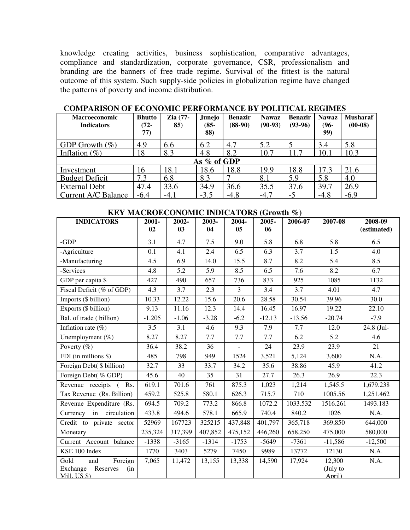knowledge creating activities, business sophistication, comparative advantages, compliance and standardization, corporate governance, CSR, professionalism and branding are the banners of free trade regime. Survival of the fittest is the natural outcome of this system. Such supply-side policies in globalization regime have changed the patterns of poverty and income distribution.

| <b>Macroeconomic</b><br><b>Indicators</b> | <b>Bhutto</b><br>(72-<br>77) | Zia (77-<br>85) | Junejo<br>$(85 -$<br>88) | <b>Benazir</b><br>$(88-90)$ | <b>Nawaz</b><br>$(90-93)$ | <b>Benazir</b><br>$(93-96)$ | <b>Nawaz</b><br>$(96 -$<br>99) | <b>Musharaf</b><br>$(00-08)$ |
|-------------------------------------------|------------------------------|-----------------|--------------------------|-----------------------------|---------------------------|-----------------------------|--------------------------------|------------------------------|
| GDP Growth $(\% )$                        | 4.9                          | 6.6             | 6.2                      | 4.7                         | 5.2                       |                             | 3.4                            | 5.8                          |
| Inflation $(\% )$                         | 18                           | 8.3             | 4.8                      | 8.2                         | 10.7                      | 11.7                        | 10.1                           | 10.3                         |
|                                           |                              |                 | As % of GDP              |                             |                           |                             |                                |                              |
| Investment                                | 16                           | 18.1            | 18.6                     | 18.8                        | 19.9                      | 18.8                        | 17.3                           | 21.6                         |
| <b>Budget Deficit</b>                     | 7.3                          | 6.8             | 8.3                      |                             | 8.1                       | 5.9                         | 5.8                            | 4.0                          |
| <b>External Debt</b>                      | 47.4                         | 33.6            | 34.9                     | 36.6                        | 35.5                      | 37.6                        | 39.7                           | 26.9                         |
| Current A/C Balance                       | $-6.4$                       | $-4.1$          | $-3.5$                   | $-4.8$                      | $-4.7$                    | -5                          | $-4.8$                         | $-6.9$                       |

### **COMPARISON OF ECONOMIC PERFORMANCE BY POLITICAL REGIMES**

#### **KEY MACROECONOMIC INDICATORS (Growth %)**

| <b>INDICATORS</b>                                        | 2001-    | 2002-   | 2003-   | 2004-          | 2005-    | 2006-07  | 2007-08            | 2008-09          |
|----------------------------------------------------------|----------|---------|---------|----------------|----------|----------|--------------------|------------------|
|                                                          | 02       | 03      | 04      | 05             | 06       |          |                    | (estimated)      |
| $-GDP$                                                   | 3.1      | 4.7     | 7.5     | 9.0            | 5.8      | 6.8      | 5.8                | 6.5              |
| -Agriculture                                             | 0.1      | 4.1     | 2.4     | 6.5            | 6.3      | 3.7      | 1.5                | 4.0              |
| -Manufacturing                                           | 4.5      | 6.9     | 14.0    | 15.5           | 8.7      | 8.2      | 5.4                | 8.5              |
| -Services                                                | 4.8      | 5.2     | 5.9     | 8.5            | 6.5      | 7.6      | 8.2                | 6.7              |
| GDP per capita \$                                        | 427      | 490     | 657     | 736            | 833      | 925      | 1085               | 1132             |
| Fiscal Deficit (% of GDP)                                | 4.3      | 3.7     | 2.3     | $\overline{3}$ | 3.4      | 3.7      | 4.01               | $\overline{4.7}$ |
| Imports (\$ billion)                                     | 10.33    | 12.22   | 15.6    | 20.6           | 28.58    | 30.54    | 39.96              | 30.0             |
| Exports (\$ billion)                                     | 9.13     | 11.16   | 12.3    | 14.4           | 16.45    | 16.97    | 19.22              | 22.10            |
| Bal. of trade (billion)                                  | $-1.205$ | $-1.06$ | $-3.28$ | $-6.2$         | $-12.13$ | $-13.56$ | $-20.74$           | $-7.9$           |
| Inflation rate $(\% )$                                   | 3.5      | 3.1     | 4.6     | 9.3            | 7.9      | 7.7      | 12.0               | 24.8 (Jul-       |
| Unemployment $(\% )$                                     | 8.27     | 8.27    | 7.7     | 7.7            | 7.7      | 6.2      | 5.2                | 4.6              |
| Poverty $(\%)$                                           | 36.4     | 38.2    | 36      |                | 24       | 23.9     | 23.9               | 21               |
| FDI (in millions $\sqrt{s}$ )                            | 485      | 798     | 949     | 1524           | 3,521    | 5,124    | 3,600              | N.A.             |
| Foreign Debt( \$ billion)                                | 32.7     | 33      | 33.7    | 34.2           | 35.6     | 38.86    | 45.9               | 41.2             |
| Foreign Debt(% GDP)                                      | 45.6     | 40      | 35      | 31             | 27.7     | 26.3     | 26.9               | 22.3             |
| Revenue receipts (<br>Rs.                                | 619.1    | 701.6   | 761     | 875.3          | 1,023    | 1,214    | 1,545.5            | 1,679.238        |
| Tax Revenue (Rs. Billion)                                | 459.2    | 525.8   | 580.1   | 626.3          | 715.7    | 710      | 1005.56            | 1,251.462        |
| Revenue Expenditure (Rs.                                 | 694.5    | 709.2   | 773.2   | 866.8          | 1072.2   | 1033.532 | 1516.261           | 1493.183         |
| in<br>circulation<br>Currency                            | 433.8    | 494.6   | 578.1   | 665.9          | 740.4    | 840.2    | 1026               | N.A.             |
| Credit to private sector                                 | 52969    | 167723  | 325215  | 437,848        | 401,797  | 365,718  | 369,850            | 644,000          |
| Monetary                                                 | 235,324  | 317,399 | 407,852 | 475,152        | 446,260  | 658,250  | 475,000            | 580,000          |
| Current Account balance                                  | $-1338$  | $-3165$ | $-1314$ | $-1753$        | $-5649$  | $-7361$  | $-11,586$          | $-12,500$        |
| KSE 100 Index                                            | 1770     | 3403    | 5279    | 7450           | 9989     | 13772    | 12130              | N.A.             |
| Gold<br>and<br>Foreign                                   | 7,065    | 11,472  | 13,155  | 13,338         | 14,590   | 17,924   | 12,300             | N.A.             |
| Reserves<br>Exchange<br>(in<br>Mill. $\overline{US}$ \$) |          |         |         |                |          |          | (July to<br>April) |                  |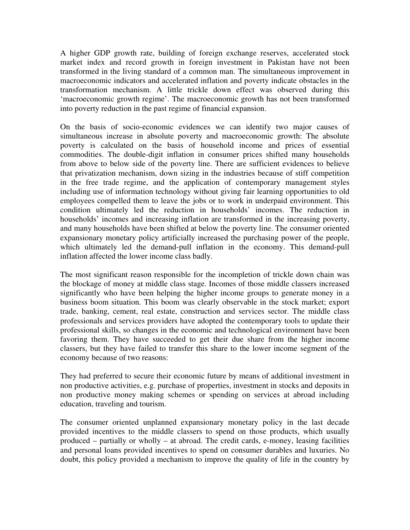A higher GDP growth rate, building of foreign exchange reserves, accelerated stock market index and record growth in foreign investment in Pakistan have not been transformed in the living standard of a common man. The simultaneous improvement in macroeconomic indicators and accelerated inflation and poverty indicate obstacles in the transformation mechanism. A little trickle down effect was observed during this 'macroeconomic growth regime'. The macroeconomic growth has not been transformed into poverty reduction in the past regime of financial expansion.

On the basis of socio-economic evidences we can identify two major causes of simultaneous increase in absolute poverty and macroeconomic growth: The absolute poverty is calculated on the basis of household income and prices of essential commodities. The double-digit inflation in consumer prices shifted many households from above to below side of the poverty line. There are sufficient evidences to believe that privatization mechanism, down sizing in the industries because of stiff competition in the free trade regime, and the application of contemporary management styles including use of information technology without giving fair learning opportunities to old employees compelled them to leave the jobs or to work in underpaid environment. This condition ultimately led the reduction in households' incomes. The reduction in households' incomes and increasing inflation are transformed in the increasing poverty, and many households have been shifted at below the poverty line. The consumer oriented expansionary monetary policy artificially increased the purchasing power of the people, which ultimately led the demand-pull inflation in the economy. This demand-pull inflation affected the lower income class badly.

The most significant reason responsible for the incompletion of trickle down chain was the blockage of money at middle class stage. Incomes of those middle classers increased significantly who have been helping the higher income groups to generate money in a business boom situation. This boom was clearly observable in the stock market; export trade, banking, cement, real estate, construction and services sector. The middle class professionals and services providers have adopted the contemporary tools to update their professional skills, so changes in the economic and technological environment have been favoring them. They have succeeded to get their due share from the higher income classers, but they have failed to transfer this share to the lower income segment of the economy because of two reasons:

They had preferred to secure their economic future by means of additional investment in non productive activities, e.g. purchase of properties, investment in stocks and deposits in non productive money making schemes or spending on services at abroad including education, traveling and tourism.

The consumer oriented unplanned expansionary monetary policy in the last decade provided incentives to the middle classers to spend on those products, which usually produced – partially or wholly – at abroad. The credit cards, e-money, leasing facilities and personal loans provided incentives to spend on consumer durables and luxuries. No doubt, this policy provided a mechanism to improve the quality of life in the country by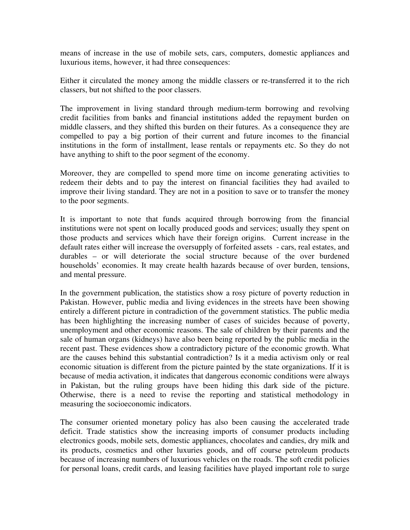means of increase in the use of mobile sets, cars, computers, domestic appliances and luxurious items, however, it had three consequences:

Either it circulated the money among the middle classers or re-transferred it to the rich classers, but not shifted to the poor classers.

The improvement in living standard through medium-term borrowing and revolving credit facilities from banks and financial institutions added the repayment burden on middle classers, and they shifted this burden on their futures. As a consequence they are compelled to pay a big portion of their current and future incomes to the financial institutions in the form of installment, lease rentals or repayments etc. So they do not have anything to shift to the poor segment of the economy.

Moreover, they are compelled to spend more time on income generating activities to redeem their debts and to pay the interest on financial facilities they had availed to improve their living standard. They are not in a position to save or to transfer the money to the poor segments.

It is important to note that funds acquired through borrowing from the financial institutions were not spent on locally produced goods and services; usually they spent on those products and services which have their foreign origins. Current increase in the default rates either will increase the oversupply of forfeited assets - cars, real estates, and durables – or will deteriorate the social structure because of the over burdened households' economies. It may create health hazards because of over burden, tensions, and mental pressure.

In the government publication, the statistics show a rosy picture of poverty reduction in Pakistan. However, public media and living evidences in the streets have been showing entirely a different picture in contradiction of the government statistics. The public media has been highlighting the increasing number of cases of suicides because of poverty, unemployment and other economic reasons. The sale of children by their parents and the sale of human organs (kidneys) have also been being reported by the public media in the recent past. These evidences show a contradictory picture of the economic growth. What are the causes behind this substantial contradiction? Is it a media activism only or real economic situation is different from the picture painted by the state organizations. If it is because of media activation, it indicates that dangerous economic conditions were always in Pakistan, but the ruling groups have been hiding this dark side of the picture. Otherwise, there is a need to revise the reporting and statistical methodology in measuring the socioeconomic indicators.

The consumer oriented monetary policy has also been causing the accelerated trade deficit. Trade statistics show the increasing imports of consumer products including electronics goods, mobile sets, domestic appliances, chocolates and candies, dry milk and its products, cosmetics and other luxuries goods, and off course petroleum products because of increasing numbers of luxurious vehicles on the roads. The soft credit policies for personal loans, credit cards, and leasing facilities have played important role to surge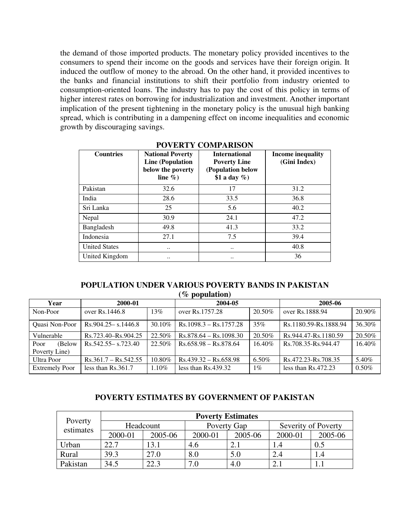the demand of those imported products. The monetary policy provided incentives to the consumers to spend their income on the goods and services have their foreign origin. It induced the outflow of money to the abroad. On the other hand, it provided incentives to the banks and financial institutions to shift their portfolio from industry oriented to consumption-oriented loans. The industry has to pay the cost of this policy in terms of higher interest rates on borrowing for industrialization and investment. Another important implication of the present tightening in the monetary policy is the unusual high banking spread, which is contributing in a dampening effect on income inequalities and economic growth by discouraging savings.

| <b>Countries</b>     | <b>National Poverty</b><br><b>Line (Population</b><br>below the poverty<br>line $\%$ ) | <b>International</b><br><b>Poverty Line</b><br>(Population below<br>\$1 a day $\%$ ) | Income inequality<br>(Gini Index) |
|----------------------|----------------------------------------------------------------------------------------|--------------------------------------------------------------------------------------|-----------------------------------|
| Pakistan             | 32.6                                                                                   | 17                                                                                   | 31.2                              |
| India                | 28.6                                                                                   | 33.5                                                                                 | 36.8                              |
| Sri Lanka            | 25                                                                                     | 5.6                                                                                  | 40.2                              |
| Nepal                | 30.9                                                                                   | 24.1                                                                                 | 47.2                              |
| Bangladesh           | 49.8                                                                                   | 41.3                                                                                 | 33.2                              |
| Indonesia            | 27.1                                                                                   | 7.5                                                                                  | 39.4                              |
| <b>United States</b> |                                                                                        | $\cdot$ .                                                                            | 40.8                              |
| United Kingdom       |                                                                                        |                                                                                      | 36                                |

#### **POVERTY COMPARISON**

#### **POPULATION UNDER VARIOUS POVERTY BANDS IN PAKISTAN (% population)**

| 2000-01<br>Year       |                        | 2004-05   |                          | 2005-06 |                       |          |
|-----------------------|------------------------|-----------|--------------------------|---------|-----------------------|----------|
| Non-Poor              | over Rs. 1446.8        | 13%       | over Rs.1757.28          | 20.50%  | over Rs.1888.94       | 20.90%   |
| Quasi Non-Poor        | $Rs.904.25 - s.1446.8$ | $30.10\%$ | $Rs.1098.3 - Rs.1757.28$ | 35%     | Rs.1180.59-Rs.1888.94 | 36.30%   |
| Vulnerable            | Rs.723.40–Rs.904.25    | 22.50%    | $Rs.878.64 - Rs.1098.30$ | 20.50%  | Rs.944.47-Rs.1180.59  | 20.50%   |
| (Below)<br>Poor       | $Rs.542.55 - s.723.40$ | 22.50%    | $Rs.658.98 - Rs.878.64$  | 16.40%  | Rs.708.35-Rs.944.47   | 16.40%   |
| Poverty Line)         |                        |           |                          |         |                       |          |
| Ultra Poor            | $Rs.361.7 - Rs.542.55$ | 10.80%    | $Rs.439.32 - Rs.658.98$  | 6.50%   | Rs.472.23-Rs.708.35   | 5.40%    |
| <b>Extremely Poor</b> | less than $Rs.361.7$   | $1.10\%$  | less than $Rs.439.32$    | $1\%$   | less than $Rs.472.23$ | $0.50\%$ |

#### **POVERTY ESTIMATES BY GOVERNMENT OF PAKISTAN**

| Poverty<br>estimates | <b>Poverty Estimates</b> |         |             |         |                     |         |  |
|----------------------|--------------------------|---------|-------------|---------|---------------------|---------|--|
|                      | Headcount                |         | Poverty Gap |         | Severity of Poverty |         |  |
|                      | 2000-01                  | 2005-06 | 2000-01     | 2005-06 | 2000-01             | 2005-06 |  |
| Urban                | 22.7                     | 13.1    | 4.6         | 2.1     |                     | 0.5     |  |
| Rural                | 39.3                     | 27.0    | 8.0         | 5.0     |                     |         |  |
| Pakistan             | 34.5                     | 22.3    | 7.0         | 4.0     |                     |         |  |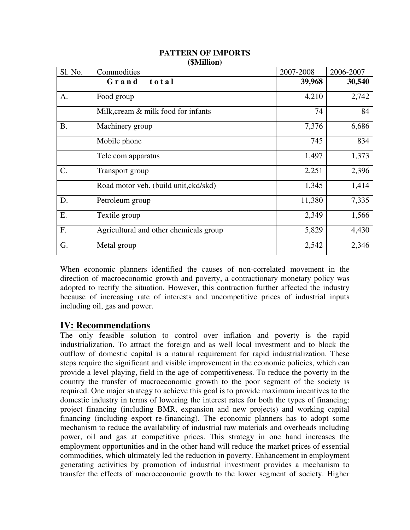| Sl. No.   | $(\psi \mathbf{u})$<br>Commodities     | 2007-2008 | 2006-2007 |
|-----------|----------------------------------------|-----------|-----------|
|           | Grand<br>total                         | 39,968    | 30,540    |
| A.        | Food group                             | 4,210     | 2,742     |
|           | Milk, cream & milk food for infants    | 74        | 84        |
| <b>B.</b> | Machinery group                        | 7,376     | 6,686     |
|           | Mobile phone                           | 745       | 834       |
|           | Tele com apparatus                     | 1,497     | 1,373     |
| C.        | Transport group                        | 2,251     | 2,396     |
|           | Road motor veh. (build unit, ckd/skd)  | 1,345     | 1,414     |
| D.        | Petroleum group                        | 11,380    | 7,335     |
| Е.        | Textile group                          | 2,349     | 1,566     |
| F.        | Agricultural and other chemicals group | 5,829     | 4,430     |
| G.        | Metal group                            | 2,542     | 2,346     |

#### **PATTERN OF IMPORTS (\$Million)**

When economic planners identified the causes of non-correlated movement in the direction of macroeconomic growth and poverty, a contractionary monetary policy was adopted to rectify the situation. However, this contraction further affected the industry because of increasing rate of interests and uncompetitive prices of industrial inputs including oil, gas and power.

## **IV: Recommendations**

The only feasible solution to control over inflation and poverty is the rapid industrialization. To attract the foreign and as well local investment and to block the outflow of domestic capital is a natural requirement for rapid industrialization. These steps require the significant and visible improvement in the economic policies, which can provide a level playing, field in the age of competitiveness. To reduce the poverty in the country the transfer of macroeconomic growth to the poor segment of the society is required. One major strategy to achieve this goal is to provide maximum incentives to the domestic industry in terms of lowering the interest rates for both the types of financing: project financing (including BMR, expansion and new projects) and working capital financing (including export re-financing). The economic planners has to adopt some mechanism to reduce the availability of industrial raw materials and overheads including power, oil and gas at competitive prices. This strategy in one hand increases the employment opportunities and in the other hand will reduce the market prices of essential commodities, which ultimately led the reduction in poverty. Enhancement in employment generating activities by promotion of industrial investment provides a mechanism to transfer the effects of macroeconomic growth to the lower segment of society. Higher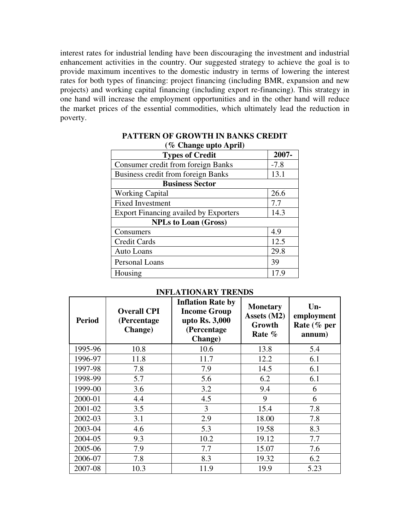interest rates for industrial lending have been discouraging the investment and industrial enhancement activities in the country. Our suggested strategy to achieve the goal is to provide maximum incentives to the domestic industry in terms of lowering the interest rates for both types of financing: project financing (including BMR, expansion and new projects) and working capital financing (including export re-financing). This strategy in one hand will increase the employment opportunities and in the other hand will reduce the market prices of the essential commodities, which ultimately lead the reduction in poverty.

| <b>Types of Credit</b>                       | 2007-  |  |  |  |  |
|----------------------------------------------|--------|--|--|--|--|
| <b>Consumer credit from foreign Banks</b>    | $-7.8$ |  |  |  |  |
| <b>Business credit from foreign Banks</b>    | 13.1   |  |  |  |  |
| <b>Business Sector</b>                       |        |  |  |  |  |
| <b>Working Capital</b>                       | 26.6   |  |  |  |  |
| <b>Fixed Investment</b>                      | 7.7    |  |  |  |  |
| <b>Export Financing availed by Exporters</b> | 14.3   |  |  |  |  |
| <b>NPLs to Loan (Gross)</b>                  |        |  |  |  |  |
| Consumers                                    | 4.9    |  |  |  |  |
| <b>Credit Cards</b>                          | 12.5   |  |  |  |  |
| <b>Auto Loans</b>                            | 29.8   |  |  |  |  |
| Personal Loans                               | 39     |  |  |  |  |
| Housing                                      | 17.9   |  |  |  |  |

#### **PATTERN OF GROWTH IN BANKS CREDIT (% Change upto April)**

| <b>Period</b> | <b>Overall CPI</b><br>(Percentage)<br><b>Change</b> ) | <b>Inflation Rate by</b><br><b>Income Group</b><br>upto Rs. 3,000<br>(Percentage<br><b>Change</b> ) | <b>Monetary</b><br>Assets (M2)<br>Growth<br>Rate % | Un-<br>employment<br>Rate (% per<br>annum) |
|---------------|-------------------------------------------------------|-----------------------------------------------------------------------------------------------------|----------------------------------------------------|--------------------------------------------|
| 1995-96       | 10.8                                                  | 10.6                                                                                                | 13.8                                               | 5.4                                        |
| 1996-97       | 11.8                                                  | 11.7                                                                                                | 12.2                                               | 6.1                                        |
| 1997-98       | 7.8                                                   | 7.9                                                                                                 | 14.5                                               | 6.1                                        |
| 1998-99       | 5.7                                                   | 5.6                                                                                                 | 6.2                                                | 6.1                                        |
| 1999-00       | 3.6                                                   | 3.2                                                                                                 | 9.4                                                | 6                                          |
| 2000-01       | 4.4                                                   | 4.5                                                                                                 | 9                                                  | 6                                          |
| 2001-02       | 3.5                                                   | 3                                                                                                   | 15.4                                               | 7.8                                        |
| 2002-03       | 3.1                                                   | 2.9                                                                                                 | 18.00                                              | 7.8                                        |
| 2003-04       | 4.6                                                   | 5.3                                                                                                 | 19.58                                              | 8.3                                        |
| 2004-05       | 9.3                                                   | 10.2                                                                                                | 19.12                                              | 7.7                                        |
| 2005-06       | 7.9                                                   | 7.7                                                                                                 | 15.07                                              | 7.6                                        |
| 2006-07       | 7.8                                                   | 8.3                                                                                                 | 19.32                                              | 6.2                                        |
| 2007-08       | 10.3                                                  | 11.9                                                                                                | 19.9                                               | 5.23                                       |

## **INFLATIONARY TRENDS**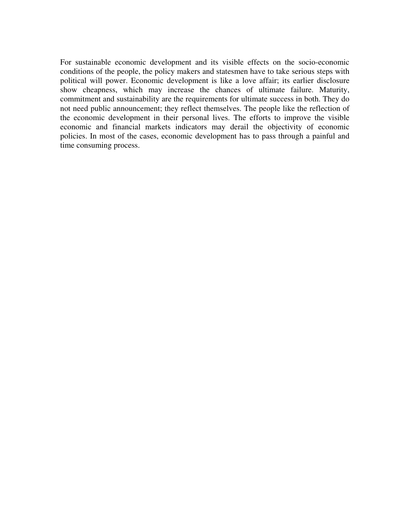For sustainable economic development and its visible effects on the socio-economic conditions of the people, the policy makers and statesmen have to take serious steps with political will power. Economic development is like a love affair; its earlier disclosure show cheapness, which may increase the chances of ultimate failure. Maturity, commitment and sustainability are the requirements for ultimate success in both. They do not need public announcement; they reflect themselves. The people like the reflection of the economic development in their personal lives. The efforts to improve the visible economic and financial markets indicators may derail the objectivity of economic policies. In most of the cases, economic development has to pass through a painful and time consuming process.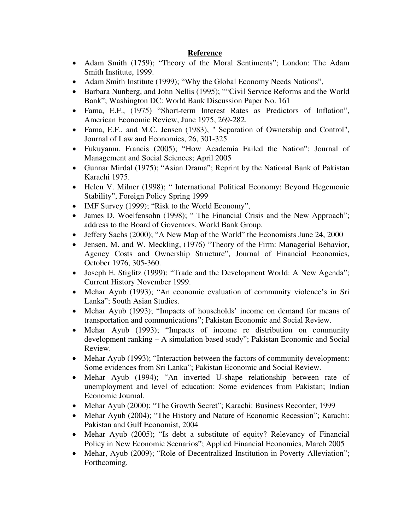#### **Reference**

- Adam Smith (1759); "Theory of the Moral Sentiments"; London: The Adam Smith Institute, 1999.
- Adam Smith Institute (1999); "Why the Global Economy Needs Nations",
- Barbara Nunberg, and John Nellis (1995); ""Civil Service Reforms and the World Bank"; Washington DC: World Bank Discussion Paper No. 161
- Fama, E.F., (1975) "Short-term Interest Rates as Predictors of Inflation", American Economic Review, June 1975, 269-282.
- Fama, E.F., and M.C. Jensen (1983), " Separation of Ownership and Control", Journal of Law and Economics, 26, 301-325
- Fukuyamn, Francis (2005); "How Academia Failed the Nation"; Journal of Management and Social Sciences; April 2005
- Gunnar Mirdal (1975); "Asian Drama"; Reprint by the National Bank of Pakistan Karachi 1975.
- Helen V. Milner (1998); " International Political Economy: Beyond Hegemonic Stability", Foreign Policy Spring 1999
- IMF Survey (1999); "Risk to the World Economy",
- James D. Woelfensohn (1998); "The Financial Crisis and the New Approach"; address to the Board of Governors, World Bank Group.
- Jeffery Sachs (2000); "A New Map of the World" the Economists June 24, 2000
- Jensen, M. and W. Meckling, (1976) "Theory of the Firm: Managerial Behavior, Agency Costs and Ownership Structure", Journal of Financial Economics, October 1976, 305-360.
- Joseph E. Stiglitz (1999); "Trade and the Development World: A New Agenda"; Current History November 1999.
- Mehar Ayub (1993); "An economic evaluation of community violence's in Sri Lanka"; South Asian Studies.
- Mehar Ayub (1993); "Impacts of households' income on demand for means of transportation and communications"; Pakistan Economic and Social Review.
- Mehar Ayub (1993); "Impacts of income re distribution on community development ranking – A simulation based study"; Pakistan Economic and Social Review.
- Mehar Ayub (1993); "Interaction between the factors of community development: Some evidences from Sri Lanka"; Pakistan Economic and Social Review.
- Mehar Ayub (1994); "An inverted U-shape relationship between rate of unemployment and level of education: Some evidences from Pakistan; Indian Economic Journal.
- Mehar Ayub (2000); "The Growth Secret"; Karachi: Business Recorder; 1999
- Mehar Ayub (2004); "The History and Nature of Economic Recession"; Karachi: Pakistan and Gulf Economist, 2004
- Mehar Ayub (2005); "Is debt a substitute of equity? Relevancy of Financial Policy in New Economic Scenarios"; Applied Financial Economics, March 2005
- Mehar, Ayub (2009); "Role of Decentralized Institution in Poverty Alleviation"; Forthcoming.